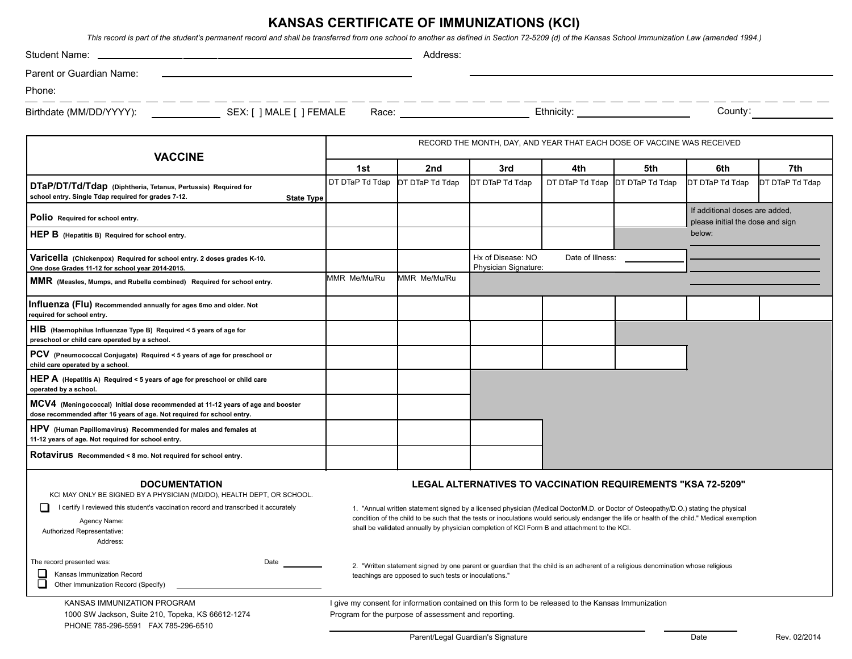## **KANSAS CERTIFICATE OF IMMUNIZATIONS (KCI)**

*This record is part of the student's permanent record and shall be transferred from one school to another as defined in Section 72-5209 (d) of the Kansas School Immunization Law (amended 1994.)*

| Student Name:                                                                                                                                                                                                                                          |                                                                                                                                                                                                                                                                                                                                                                                                                                                      | Address:                                                                                                                                                                                                                       |                                                                                                    |                                      |                 |                                                                    |                 |
|--------------------------------------------------------------------------------------------------------------------------------------------------------------------------------------------------------------------------------------------------------|------------------------------------------------------------------------------------------------------------------------------------------------------------------------------------------------------------------------------------------------------------------------------------------------------------------------------------------------------------------------------------------------------------------------------------------------------|--------------------------------------------------------------------------------------------------------------------------------------------------------------------------------------------------------------------------------|----------------------------------------------------------------------------------------------------|--------------------------------------|-----------------|--------------------------------------------------------------------|-----------------|
| Parent or Guardian Name:                                                                                                                                                                                                                               |                                                                                                                                                                                                                                                                                                                                                                                                                                                      |                                                                                                                                                                                                                                |                                                                                                    |                                      |                 |                                                                    |                 |
| Phone:                                                                                                                                                                                                                                                 |                                                                                                                                                                                                                                                                                                                                                                                                                                                      |                                                                                                                                                                                                                                |                                                                                                    |                                      |                 |                                                                    |                 |
| Birthdate (MM/DD/YYYY): SEX: [ ] MALE [ ] FEMALE                                                                                                                                                                                                       |                                                                                                                                                                                                                                                                                                                                                                                                                                                      | Race: National Property of the Contract of the Contract of the Contract of the Contract of the Contract of the Contract of the Contract of the Contract of the Contract of the Contract of the Contract of the Contract of the |                                                                                                    | Ethnicity: <u>__________________</u> |                 | County:                                                            |                 |
|                                                                                                                                                                                                                                                        | RECORD THE MONTH, DAY, AND YEAR THAT EACH DOSE OF VACCINE WAS RECEIVED                                                                                                                                                                                                                                                                                                                                                                               |                                                                                                                                                                                                                                |                                                                                                    |                                      |                 |                                                                    |                 |
| <b>VACCINE</b>                                                                                                                                                                                                                                         | 1st                                                                                                                                                                                                                                                                                                                                                                                                                                                  | 2nd                                                                                                                                                                                                                            | 3rd                                                                                                | 4th                                  | 5th             | 6th                                                                | 7th             |
| DTaP/DT/Td/Tdap (Diphtheria, Tetanus, Pertussis) Required for<br>school entry. Single Tdap required for grades 7-12.<br><b>State Type</b>                                                                                                              | DT DTaP Td Tdap                                                                                                                                                                                                                                                                                                                                                                                                                                      | DT DTaP Td Tdap                                                                                                                                                                                                                | DT DTaP Td Tdap                                                                                    | DT DTaP Td Tdap                      | DT DTaP Td Tdap | DT DTaP Td Tdap                                                    | DT DTaP Td Tdap |
| Polio Required for school entry.                                                                                                                                                                                                                       |                                                                                                                                                                                                                                                                                                                                                                                                                                                      |                                                                                                                                                                                                                                |                                                                                                    |                                      |                 | If additional doses are added,<br>please initial the dose and sign |                 |
| HEP B (Hepatitis B) Required for school entry.                                                                                                                                                                                                         |                                                                                                                                                                                                                                                                                                                                                                                                                                                      |                                                                                                                                                                                                                                |                                                                                                    |                                      |                 | below:                                                             |                 |
| Varicella (Chickenpox) Required for school entry. 2 doses grades K-10.<br>One dose Grades 11-12 for school year 2014-2015.                                                                                                                             |                                                                                                                                                                                                                                                                                                                                                                                                                                                      |                                                                                                                                                                                                                                | Hx of Disease: NO<br>Date of Illness:<br>Physician Signature:                                      |                                      |                 |                                                                    |                 |
| MMR (Measles, Mumps, and Rubella combined) Required for school entry.                                                                                                                                                                                  | MMR Me/Mu/Ru                                                                                                                                                                                                                                                                                                                                                                                                                                         | MMR Me/Mu/Ru                                                                                                                                                                                                                   |                                                                                                    |                                      |                 |                                                                    |                 |
| Influenza (Flu) Recommended annually for ages 6mo and older. Not<br>required for school entry.                                                                                                                                                         |                                                                                                                                                                                                                                                                                                                                                                                                                                                      |                                                                                                                                                                                                                                |                                                                                                    |                                      |                 |                                                                    |                 |
| HIB (Haemophilus Influenzae Type B) Required < 5 years of age for<br>preschool or child care operated by a school.                                                                                                                                     |                                                                                                                                                                                                                                                                                                                                                                                                                                                      |                                                                                                                                                                                                                                |                                                                                                    |                                      |                 |                                                                    |                 |
| PCV (Pneumococcal Conjugate) Required < 5 years of age for preschool or<br>child care operated by a school.                                                                                                                                            |                                                                                                                                                                                                                                                                                                                                                                                                                                                      |                                                                                                                                                                                                                                |                                                                                                    |                                      |                 |                                                                    |                 |
| HEP A (Hepatitis A) Required < 5 years of age for preschool or child care<br>operated by a school.                                                                                                                                                     |                                                                                                                                                                                                                                                                                                                                                                                                                                                      |                                                                                                                                                                                                                                |                                                                                                    |                                      |                 |                                                                    |                 |
| MCV4 (Meningococcal) Initial dose recommended at 11-12 years of age and booster<br>dose recommended after 16 years of age. Not required for school entry.                                                                                              |                                                                                                                                                                                                                                                                                                                                                                                                                                                      |                                                                                                                                                                                                                                |                                                                                                    |                                      |                 |                                                                    |                 |
| HPV (Human Papillomavirus) Recommended for males and females at<br>11-12 years of age. Not required for school entry.                                                                                                                                  |                                                                                                                                                                                                                                                                                                                                                                                                                                                      |                                                                                                                                                                                                                                |                                                                                                    |                                      |                 |                                                                    |                 |
| Rotavirus Recommended < 8 mo. Not required for school entry.                                                                                                                                                                                           |                                                                                                                                                                                                                                                                                                                                                                                                                                                      |                                                                                                                                                                                                                                |                                                                                                    |                                      |                 |                                                                    |                 |
| <b>DOCUMENTATION</b><br>KCI MAY ONLY BE SIGNED BY A PHYSICIAN (MD/DO), HEALTH DEPT, OR SCHOOL.<br>I certify I reviewed this student's vaccination record and transcribed it accurately<br>H.<br>Agency Name:<br>Authorized Representative:<br>Address: | LEGAL ALTERNATIVES TO VACCINATION REQUIREMENTS "KSA 72-5209"<br>1. "Annual written statement signed by a licensed physician (Medical Doctor/M.D. or Doctor of Osteopathy/D.O.) stating the physical<br>condition of the child to be such that the tests or inoculations would seriously endanger the life or health of the child." Medical exemption<br>shall be validated annually by physician completion of KCI Form B and attachment to the KCI. |                                                                                                                                                                                                                                |                                                                                                    |                                      |                 |                                                                    |                 |
| The record presented was:<br>Date<br>Kansas Immunization Record<br>l 1.<br>Other Immunization Record (Specify)                                                                                                                                         | 2. "Written statement signed by one parent or guardian that the child is an adherent of a religious denomination whose religious<br>teachings are opposed to such tests or inoculations."                                                                                                                                                                                                                                                            |                                                                                                                                                                                                                                |                                                                                                    |                                      |                 |                                                                    |                 |
| KANSAS IMMUNIZATION PROGRAM<br>1000 SW Jackson, Suite 210, Topeka, KS 66612-1274<br>PHONE 785-296-5591 FAX 785-296-6510                                                                                                                                |                                                                                                                                                                                                                                                                                                                                                                                                                                                      | Program for the purpose of assessment and reporting.                                                                                                                                                                           | I give my consent for information contained on this form to be released to the Kansas Immunization |                                      |                 |                                                                    |                 |

Parent/Legal Guardian's Signature **Date** Date